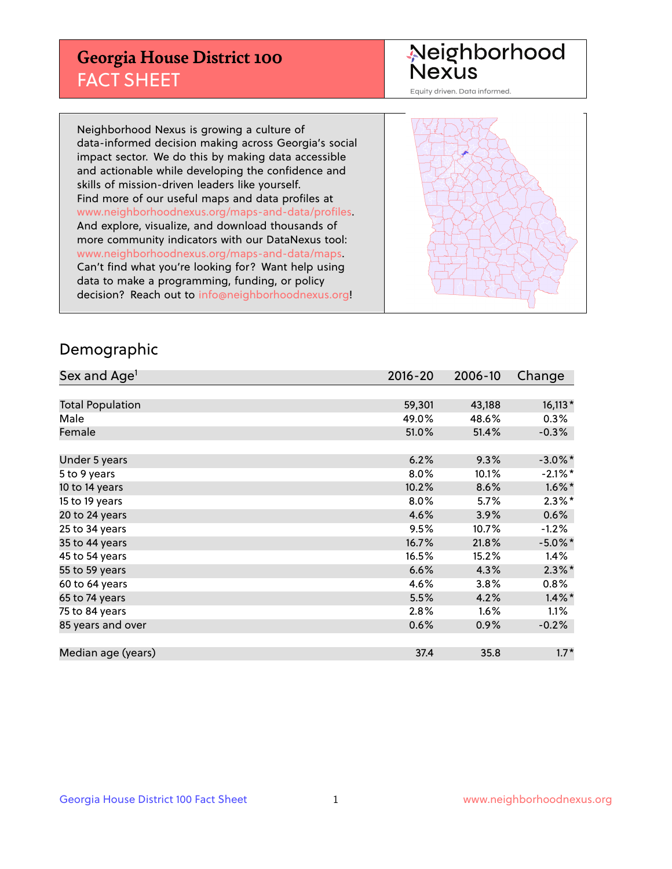## **Georgia House District 100** FACT SHEET

# Neighborhood<br>Nexus

Equity driven. Data informed.

Neighborhood Nexus is growing a culture of data-informed decision making across Georgia's social impact sector. We do this by making data accessible and actionable while developing the confidence and skills of mission-driven leaders like yourself. Find more of our useful maps and data profiles at www.neighborhoodnexus.org/maps-and-data/profiles. And explore, visualize, and download thousands of more community indicators with our DataNexus tool: www.neighborhoodnexus.org/maps-and-data/maps. Can't find what you're looking for? Want help using data to make a programming, funding, or policy decision? Reach out to [info@neighborhoodnexus.org!](mailto:info@neighborhoodnexus.org)



### Demographic

| Sex and Age <sup>1</sup> | $2016 - 20$ | 2006-10 | Change     |
|--------------------------|-------------|---------|------------|
|                          |             |         |            |
| <b>Total Population</b>  | 59,301      | 43,188  | $16,113*$  |
| Male                     | 49.0%       | 48.6%   | $0.3\%$    |
| Female                   | 51.0%       | 51.4%   | $-0.3%$    |
|                          |             |         |            |
| Under 5 years            | 6.2%        | 9.3%    | $-3.0\%$ * |
| 5 to 9 years             | $8.0\%$     | 10.1%   | $-2.1\%$ * |
| 10 to 14 years           | 10.2%       | 8.6%    | $1.6\%$ *  |
| 15 to 19 years           | 8.0%        | 5.7%    | $2.3\%$ *  |
| 20 to 24 years           | 4.6%        | 3.9%    | 0.6%       |
| 25 to 34 years           | 9.5%        | 10.7%   | $-1.2%$    |
| 35 to 44 years           | 16.7%       | 21.8%   | $-5.0\%$ * |
| 45 to 54 years           | 16.5%       | 15.2%   | 1.4%       |
| 55 to 59 years           | 6.6%        | 4.3%    | $2.3\%$ *  |
| 60 to 64 years           | 4.6%        | 3.8%    | 0.8%       |
| 65 to 74 years           | 5.5%        | 4.2%    | $1.4\%$ *  |
| 75 to 84 years           | 2.8%        | 1.6%    | $1.1\%$    |
| 85 years and over        | 0.6%        | 0.9%    | $-0.2%$    |
|                          |             |         |            |
| Median age (years)       | 37.4        | 35.8    | $1.7*$     |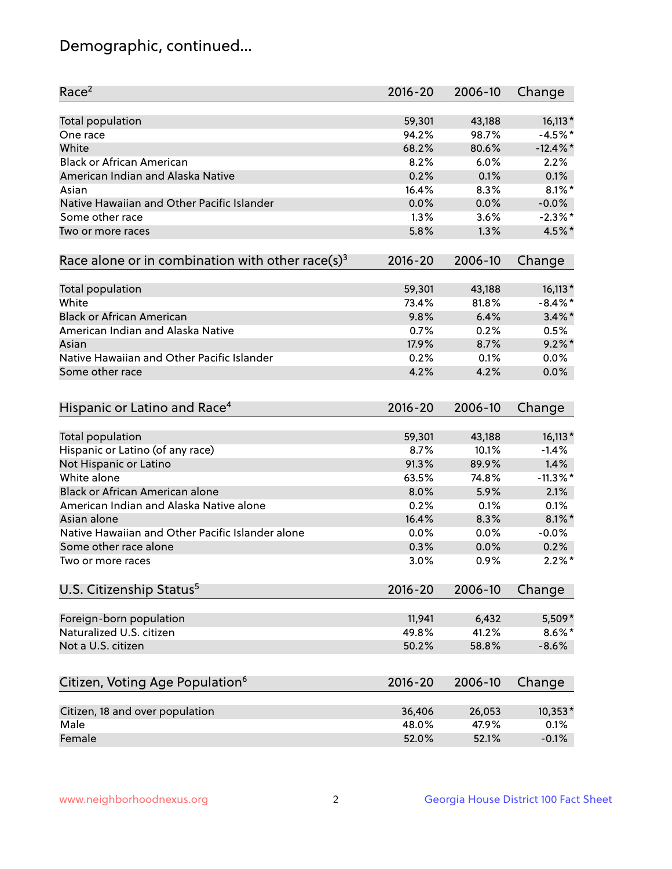## Demographic, continued...

| Race <sup>2</sup>                                            | $2016 - 20$ | 2006-10 | Change      |
|--------------------------------------------------------------|-------------|---------|-------------|
| <b>Total population</b>                                      | 59,301      | 43,188  | $16,113*$   |
| One race                                                     | 94.2%       | 98.7%   | $-4.5%$ *   |
| White                                                        | 68.2%       | 80.6%   | $-12.4\%$ * |
| <b>Black or African American</b>                             | 8.2%        | 6.0%    | 2.2%        |
| American Indian and Alaska Native                            | 0.2%        | 0.1%    | 0.1%        |
| Asian                                                        | 16.4%       | 8.3%    | $8.1\%$ *   |
| Native Hawaiian and Other Pacific Islander                   | 0.0%        | 0.0%    | $-0.0%$     |
| Some other race                                              | 1.3%        | 3.6%    | $-2.3\%$ *  |
| Two or more races                                            | 5.8%        | 1.3%    | 4.5%*       |
| Race alone or in combination with other race(s) <sup>3</sup> | $2016 - 20$ | 2006-10 | Change      |
| Total population                                             | 59,301      | 43,188  | $16,113*$   |
| White                                                        | 73.4%       | 81.8%   | $-8.4\%$ *  |
| <b>Black or African American</b>                             | 9.8%        | 6.4%    | $3.4\%$ *   |
| American Indian and Alaska Native                            | 0.7%        | 0.2%    | 0.5%        |
| Asian                                                        | 17.9%       | 8.7%    | $9.2\%$ *   |
| Native Hawaiian and Other Pacific Islander                   | 0.2%        | 0.1%    | 0.0%        |
| Some other race                                              | 4.2%        | 4.2%    | 0.0%        |
|                                                              |             |         |             |
| Hispanic or Latino and Race <sup>4</sup>                     | $2016 - 20$ | 2006-10 | Change      |
| Total population                                             | 59,301      | 43,188  | $16,113*$   |
| Hispanic or Latino (of any race)                             | 8.7%        | 10.1%   | $-1.4%$     |
| Not Hispanic or Latino                                       | 91.3%       | 89.9%   | 1.4%        |
| White alone                                                  | 63.5%       | 74.8%   | $-11.3\%$ * |
| Black or African American alone                              | 8.0%        | 5.9%    | 2.1%        |
| American Indian and Alaska Native alone                      | 0.2%        | 0.1%    | 0.1%        |
| Asian alone                                                  | 16.4%       | 8.3%    | $8.1\%$ *   |
| Native Hawaiian and Other Pacific Islander alone             | 0.0%        | 0.0%    | $-0.0%$     |
| Some other race alone                                        | 0.3%        | 0.0%    | 0.2%        |
| Two or more races                                            | 3.0%        | 0.9%    | $2.2\%$ *   |
| U.S. Citizenship Status <sup>5</sup>                         | $2016 - 20$ | 2006-10 | Change      |
|                                                              |             |         |             |
| Foreign-born population                                      | 11,941      | 6,432   | 5,509*      |
| Naturalized U.S. citizen                                     | 49.8%       | 41.2%   | $8.6\%$ *   |
| Not a U.S. citizen                                           | 50.2%       | 58.8%   | $-8.6%$     |
| Citizen, Voting Age Population <sup>6</sup>                  | 2016-20     | 2006-10 | Change      |
| Citizen, 18 and over population                              | 36,406      | 26,053  | $10,353*$   |
| Male                                                         | 48.0%       | 47.9%   | 0.1%        |
| Female                                                       | 52.0%       | 52.1%   | $-0.1%$     |
|                                                              |             |         |             |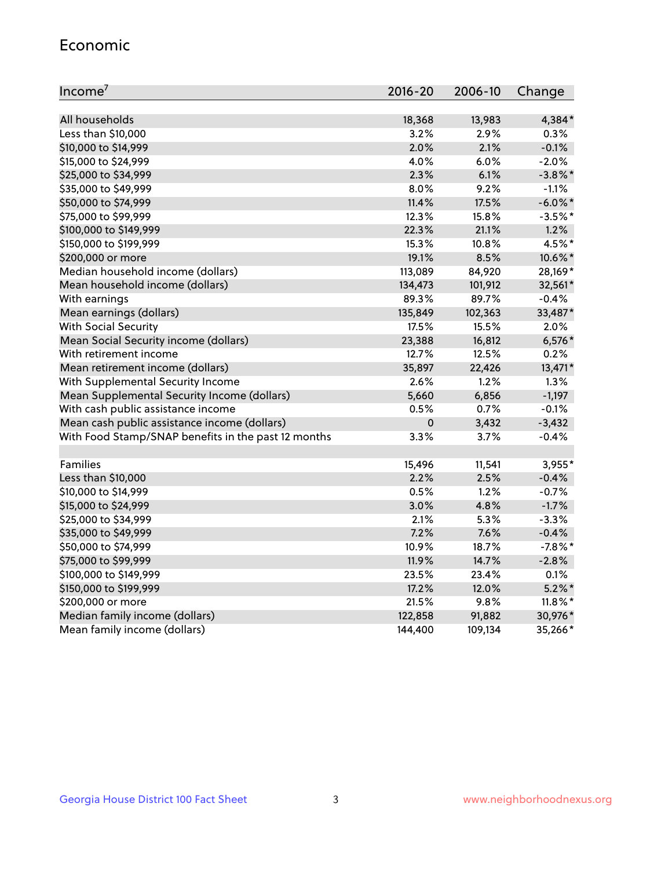#### Economic

| Income <sup>7</sup>                                 | $2016 - 20$ | 2006-10 | Change     |
|-----------------------------------------------------|-------------|---------|------------|
|                                                     |             |         |            |
| All households                                      | 18,368      | 13,983  | 4,384*     |
| Less than \$10,000                                  | 3.2%        | 2.9%    | 0.3%       |
| \$10,000 to \$14,999                                | 2.0%        | 2.1%    | $-0.1%$    |
| \$15,000 to \$24,999                                | 4.0%        | 6.0%    | $-2.0%$    |
| \$25,000 to \$34,999                                | 2.3%        | 6.1%    | $-3.8\%$ * |
| \$35,000 to \$49,999                                | 8.0%        | 9.2%    | $-1.1%$    |
| \$50,000 to \$74,999                                | 11.4%       | 17.5%   | $-6.0\%$ * |
| \$75,000 to \$99,999                                | 12.3%       | 15.8%   | $-3.5%$ *  |
| \$100,000 to \$149,999                              | 22.3%       | 21.1%   | 1.2%       |
| \$150,000 to \$199,999                              | 15.3%       | 10.8%   | 4.5%*      |
| \$200,000 or more                                   | 19.1%       | 8.5%    | 10.6%*     |
| Median household income (dollars)                   | 113,089     | 84,920  | 28,169*    |
| Mean household income (dollars)                     | 134,473     | 101,912 | 32,561*    |
| With earnings                                       | 89.3%       | 89.7%   | $-0.4%$    |
| Mean earnings (dollars)                             | 135,849     | 102,363 | 33,487*    |
| <b>With Social Security</b>                         | 17.5%       | 15.5%   | 2.0%       |
| Mean Social Security income (dollars)               | 23,388      | 16,812  | $6,576*$   |
| With retirement income                              | 12.7%       | 12.5%   | 0.2%       |
| Mean retirement income (dollars)                    | 35,897      | 22,426  | 13,471*    |
| With Supplemental Security Income                   | $2.6\%$     | 1.2%    | 1.3%       |
| Mean Supplemental Security Income (dollars)         | 5,660       | 6,856   | $-1,197$   |
| With cash public assistance income                  | 0.5%        | 0.7%    | $-0.1%$    |
| Mean cash public assistance income (dollars)        | $\mathbf 0$ | 3,432   | $-3,432$   |
| With Food Stamp/SNAP benefits in the past 12 months | 3.3%        | 3.7%    | $-0.4%$    |
|                                                     |             |         |            |
| Families                                            | 15,496      | 11,541  | 3,955*     |
| Less than \$10,000                                  | 2.2%        | 2.5%    | $-0.4%$    |
| \$10,000 to \$14,999                                | 0.5%        | 1.2%    | $-0.7%$    |
| \$15,000 to \$24,999                                | 3.0%        | 4.8%    | $-1.7%$    |
| \$25,000 to \$34,999                                | 2.1%        | 5.3%    | $-3.3%$    |
| \$35,000 to \$49,999                                | 7.2%        | 7.6%    | $-0.4%$    |
| \$50,000 to \$74,999                                | 10.9%       | 18.7%   | $-7.8\%$ * |
| \$75,000 to \$99,999                                | 11.9%       | 14.7%   | $-2.8%$    |
| \$100,000 to \$149,999                              | 23.5%       | 23.4%   | 0.1%       |
| \$150,000 to \$199,999                              | 17.2%       | 12.0%   | $5.2\%$ *  |
| \$200,000 or more                                   | 21.5%       | 9.8%    | $11.8\%$ * |
| Median family income (dollars)                      | 122,858     | 91,882  | 30,976*    |
| Mean family income (dollars)                        | 144,400     | 109,134 | 35,266*    |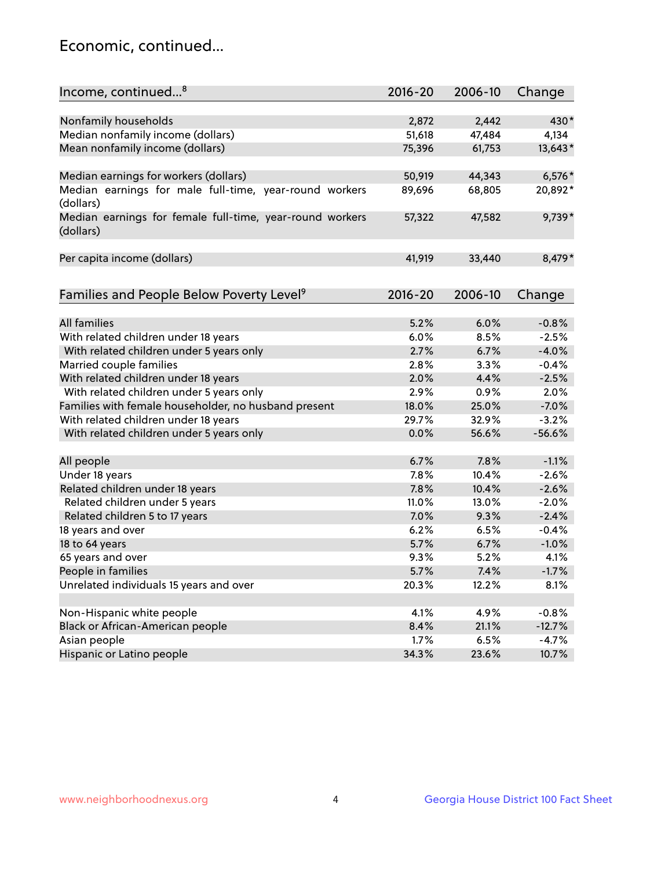## Economic, continued...

| Income, continued <sup>8</sup>                                        | $2016 - 20$ | 2006-10 | Change   |
|-----------------------------------------------------------------------|-------------|---------|----------|
|                                                                       |             |         |          |
| Nonfamily households                                                  | 2,872       | 2,442   | 430*     |
| Median nonfamily income (dollars)                                     | 51,618      | 47,484  | 4,134    |
| Mean nonfamily income (dollars)                                       | 75,396      | 61,753  | 13,643*  |
| Median earnings for workers (dollars)                                 | 50,919      | 44,343  | $6,576*$ |
| Median earnings for male full-time, year-round workers                | 89,696      | 68,805  | 20,892*  |
| (dollars)                                                             |             |         |          |
| Median earnings for female full-time, year-round workers<br>(dollars) | 57,322      | 47,582  | 9,739*   |
| Per capita income (dollars)                                           | 41,919      | 33,440  | 8,479*   |
|                                                                       |             |         |          |
| Families and People Below Poverty Level <sup>9</sup>                  | 2016-20     | 2006-10 | Change   |
|                                                                       |             |         |          |
| <b>All families</b>                                                   | 5.2%        | 6.0%    | $-0.8%$  |
| With related children under 18 years                                  | 6.0%        | 8.5%    | $-2.5%$  |
| With related children under 5 years only                              | 2.7%        | 6.7%    | $-4.0%$  |
| Married couple families                                               | 2.8%        | 3.3%    | $-0.4%$  |
| With related children under 18 years                                  | 2.0%        | 4.4%    | $-2.5%$  |
| With related children under 5 years only                              | 2.9%        | 0.9%    | 2.0%     |
| Families with female householder, no husband present                  | 18.0%       | 25.0%   | $-7.0%$  |
| With related children under 18 years                                  | 29.7%       | 32.9%   | $-3.2%$  |
| With related children under 5 years only                              | 0.0%        | 56.6%   | $-56.6%$ |
|                                                                       |             |         |          |
| All people                                                            | 6.7%        | 7.8%    | $-1.1%$  |
| Under 18 years                                                        | 7.8%        | 10.4%   | $-2.6%$  |
| Related children under 18 years                                       | 7.8%        | 10.4%   | $-2.6%$  |
| Related children under 5 years                                        | 11.0%       | 13.0%   | $-2.0%$  |
| Related children 5 to 17 years                                        | 7.0%        | 9.3%    | $-2.4%$  |
| 18 years and over                                                     | 6.2%        | 6.5%    | $-0.4%$  |
| 18 to 64 years                                                        | 5.7%        | 6.7%    | $-1.0%$  |
| 65 years and over                                                     | 9.3%        | 5.2%    | 4.1%     |
| People in families                                                    | 5.7%        | 7.4%    | $-1.7%$  |
| Unrelated individuals 15 years and over                               | 20.3%       | 12.2%   | 8.1%     |
|                                                                       |             |         |          |
| Non-Hispanic white people                                             | 4.1%        | 4.9%    | $-0.8%$  |
| Black or African-American people                                      | 8.4%        | 21.1%   | $-12.7%$ |
| Asian people                                                          | 1.7%        | 6.5%    | $-4.7%$  |
| Hispanic or Latino people                                             | 34.3%       | 23.6%   | 10.7%    |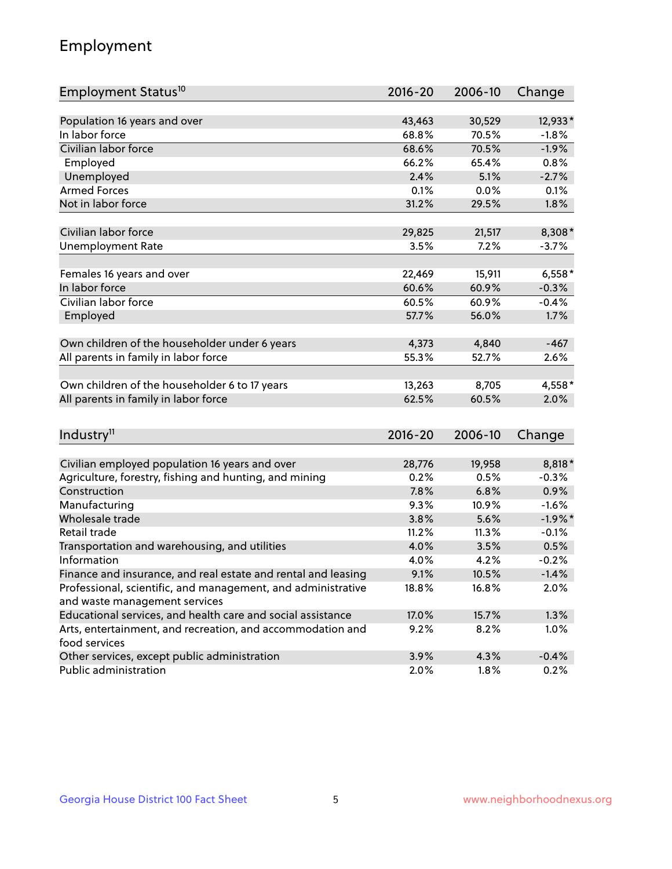## Employment

| Employment Status <sup>10</sup>                                             | $2016 - 20$ | 2006-10 | Change    |
|-----------------------------------------------------------------------------|-------------|---------|-----------|
|                                                                             |             |         |           |
| Population 16 years and over                                                | 43,463      | 30,529  | 12,933*   |
| In labor force                                                              | 68.8%       | 70.5%   | $-1.8%$   |
| Civilian labor force                                                        | 68.6%       | 70.5%   | $-1.9%$   |
| Employed                                                                    | 66.2%       | 65.4%   | 0.8%      |
| Unemployed                                                                  | 2.4%        | 5.1%    | $-2.7%$   |
| <b>Armed Forces</b>                                                         | 0.1%        | 0.0%    | 0.1%      |
| Not in labor force                                                          | 31.2%       | 29.5%   | 1.8%      |
|                                                                             |             |         |           |
| Civilian labor force                                                        | 29,825      | 21,517  | 8,308*    |
| <b>Unemployment Rate</b>                                                    | 3.5%        | 7.2%    | $-3.7%$   |
| Females 16 years and over                                                   | 22,469      | 15,911  | $6,558*$  |
| In labor force                                                              | 60.6%       | 60.9%   | $-0.3%$   |
| Civilian labor force                                                        | 60.5%       | 60.9%   | $-0.4%$   |
| Employed                                                                    | 57.7%       | 56.0%   | 1.7%      |
|                                                                             |             |         |           |
| Own children of the householder under 6 years                               | 4,373       | 4,840   | $-467$    |
| All parents in family in labor force                                        | 55.3%       | 52.7%   | 2.6%      |
|                                                                             |             |         |           |
| Own children of the householder 6 to 17 years                               | 13,263      | 8,705   | 4,558*    |
| All parents in family in labor force                                        | 62.5%       | 60.5%   | 2.0%      |
|                                                                             |             |         |           |
| Industry <sup>11</sup>                                                      | $2016 - 20$ | 2006-10 | Change    |
|                                                                             |             |         |           |
| Civilian employed population 16 years and over                              | 28,776      | 19,958  | 8,818*    |
| Agriculture, forestry, fishing and hunting, and mining                      | 0.2%        | 0.5%    | $-0.3%$   |
| Construction                                                                | 7.8%        | 6.8%    | 0.9%      |
| Manufacturing                                                               | 9.3%        | 10.9%   | $-1.6%$   |
| Wholesale trade                                                             | 3.8%        | 5.6%    | $-1.9%$ * |
| Retail trade                                                                | 11.2%       | 11.3%   | $-0.1%$   |
| Transportation and warehousing, and utilities                               | 4.0%        | 3.5%    | 0.5%      |
| Information                                                                 | 4.0%        | 4.2%    | $-0.2%$   |
| Finance and insurance, and real estate and rental and leasing               | 9.1%        | 10.5%   | $-1.4%$   |
| Professional, scientific, and management, and administrative                | 18.8%       | 16.8%   | 2.0%      |
| and waste management services                                               |             |         |           |
| Educational services, and health care and social assistance                 | 17.0%       | 15.7%   | 1.3%      |
| Arts, entertainment, and recreation, and accommodation and<br>food services | 9.2%        | 8.2%    | 1.0%      |
| Other services, except public administration                                | 3.9%        | 4.3%    | $-0.4%$   |
| Public administration                                                       | 2.0%        | 1.8%    | 0.2%      |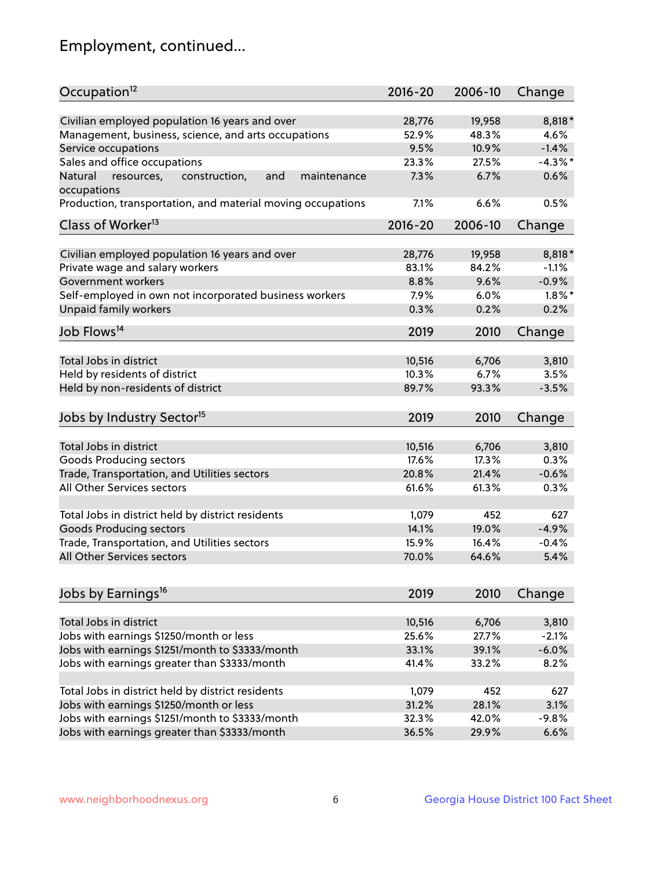## Employment, continued...

| Occupation <sup>12</sup>                                    | $2016 - 20$ | 2006-10 | Change     |
|-------------------------------------------------------------|-------------|---------|------------|
| Civilian employed population 16 years and over              | 28,776      | 19,958  | 8,818*     |
| Management, business, science, and arts occupations         | 52.9%       | 48.3%   | 4.6%       |
| Service occupations                                         | 9.5%        | 10.9%   | $-1.4%$    |
| Sales and office occupations                                | 23.3%       | 27.5%   | $-4.3\%$ * |
| Natural<br>and<br>maintenance                               | 7.3%        | 6.7%    | 0.6%       |
| resources,<br>construction,<br>occupations                  |             |         |            |
| Production, transportation, and material moving occupations | 7.1%        | 6.6%    | 0.5%       |
| Class of Worker <sup>13</sup>                               | $2016 - 20$ | 2006-10 | Change     |
| Civilian employed population 16 years and over              | 28,776      | 19,958  | 8,818*     |
| Private wage and salary workers                             | 83.1%       | 84.2%   | $-1.1%$    |
| Government workers                                          | 8.8%        | 9.6%    | $-0.9%$    |
| Self-employed in own not incorporated business workers      | 7.9%        | 6.0%    | $1.8\%$ *  |
| Unpaid family workers                                       | 0.3%        | 0.2%    | 0.2%       |
| Job Flows <sup>14</sup>                                     | 2019        | 2010    | Change     |
|                                                             |             |         |            |
| Total Jobs in district                                      | 10,516      | 6,706   | 3,810      |
| Held by residents of district                               | 10.3%       | 6.7%    | 3.5%       |
| Held by non-residents of district                           | 89.7%       | 93.3%   | $-3.5%$    |
| Jobs by Industry Sector <sup>15</sup>                       | 2019        | 2010    | Change     |
| Total Jobs in district                                      | 10,516      | 6,706   | 3,810      |
| Goods Producing sectors                                     | 17.6%       | 17.3%   | 0.3%       |
| Trade, Transportation, and Utilities sectors                | 20.8%       | 21.4%   | $-0.6%$    |
| All Other Services sectors                                  | 61.6%       | 61.3%   | 0.3%       |
|                                                             |             |         |            |
| Total Jobs in district held by district residents           | 1,079       | 452     | 627        |
| <b>Goods Producing sectors</b>                              | 14.1%       | 19.0%   | $-4.9%$    |
| Trade, Transportation, and Utilities sectors                | 15.9%       | 16.4%   | $-0.4%$    |
| All Other Services sectors                                  | 70.0%       | 64.6%   | 5.4%       |
|                                                             |             |         |            |
| Jobs by Earnings <sup>16</sup>                              | 2019        | 2010    | Change     |
| Total Jobs in district                                      | 10,516      | 6,706   | 3,810      |
| Jobs with earnings \$1250/month or less                     | 25.6%       | 27.7%   | $-2.1%$    |
| Jobs with earnings \$1251/month to \$3333/month             | 33.1%       | 39.1%   | $-6.0%$    |
| Jobs with earnings greater than \$3333/month                | 41.4%       | 33.2%   | 8.2%       |
|                                                             |             |         |            |
| Total Jobs in district held by district residents           | 1,079       | 452     | 627        |
| Jobs with earnings \$1250/month or less                     | 31.2%       | 28.1%   | 3.1%       |
| Jobs with earnings \$1251/month to \$3333/month             | 32.3%       | 42.0%   | $-9.8%$    |
| Jobs with earnings greater than \$3333/month                | 36.5%       | 29.9%   | 6.6%       |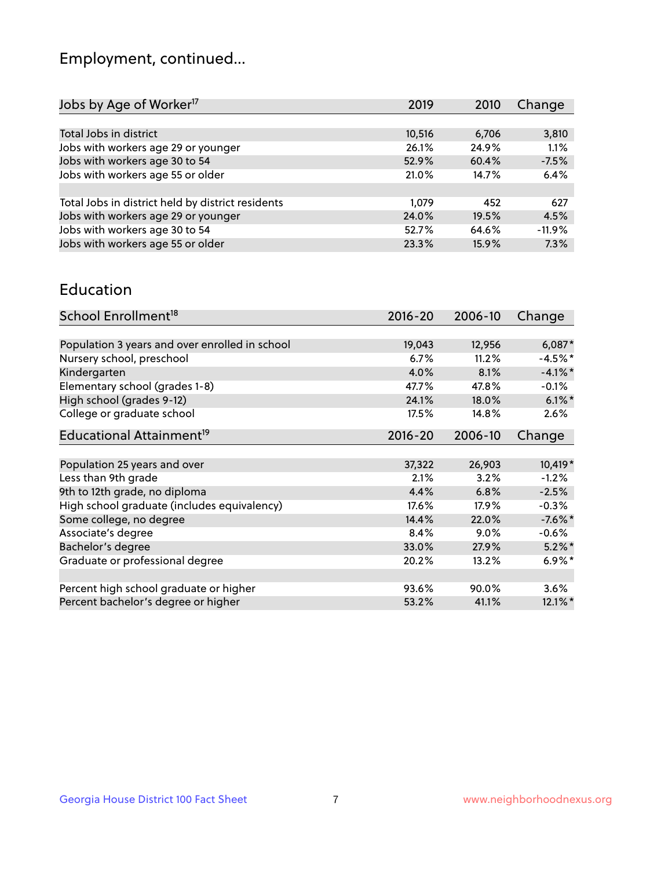## Employment, continued...

| Jobs by Age of Worker <sup>17</sup>               | 2019   | 2010  | Change   |
|---------------------------------------------------|--------|-------|----------|
|                                                   |        |       |          |
| Total Jobs in district                            | 10,516 | 6,706 | 3,810    |
| Jobs with workers age 29 or younger               | 26.1%  | 24.9% | 1.1%     |
| Jobs with workers age 30 to 54                    | 52.9%  | 60.4% | $-7.5%$  |
| Jobs with workers age 55 or older                 | 21.0%  | 14.7% | 6.4%     |
|                                                   |        |       |          |
| Total Jobs in district held by district residents | 1.079  | 452   | 627      |
| Jobs with workers age 29 or younger               | 24.0%  | 19.5% | 4.5%     |
| Jobs with workers age 30 to 54                    | 52.7%  | 64.6% | $-11.9%$ |
| Jobs with workers age 55 or older                 | 23.3%  | 15.9% | 7.3%     |
|                                                   |        |       |          |

#### Education

| School Enrollment <sup>18</sup>                | $2016 - 20$ | 2006-10 | Change     |
|------------------------------------------------|-------------|---------|------------|
|                                                |             |         |            |
| Population 3 years and over enrolled in school | 19,043      | 12,956  | $6,087*$   |
| Nursery school, preschool                      | 6.7%        | 11.2%   | $-4.5%$ *  |
| Kindergarten                                   | 4.0%        | 8.1%    | $-4.1\%$ * |
| Elementary school (grades 1-8)                 | 47.7%       | 47.8%   | $-0.1%$    |
| High school (grades 9-12)                      | 24.1%       | 18.0%   | $6.1\%$ *  |
| College or graduate school                     | 17.5%       | 14.8%   | 2.6%       |
| Educational Attainment <sup>19</sup>           | $2016 - 20$ | 2006-10 | Change     |
|                                                |             |         |            |
| Population 25 years and over                   | 37,322      | 26,903  | 10,419*    |
| Less than 9th grade                            | 2.1%        | 3.2%    | $-1.2%$    |
| 9th to 12th grade, no diploma                  | 4.4%        | 6.8%    | $-2.5%$    |
| High school graduate (includes equivalency)    | 17.6%       | 17.9%   | $-0.3%$    |
| Some college, no degree                        | 14.4%       | 22.0%   | $-7.6\%$ * |
| Associate's degree                             | 8.4%        | 9.0%    | $-0.6%$    |
| Bachelor's degree                              | 33.0%       | 27.9%   | $5.2\%$ *  |
| Graduate or professional degree                | 20.2%       | 13.2%   | $6.9\%$ *  |
|                                                |             |         |            |
| Percent high school graduate or higher         | 93.6%       | 90.0%   | 3.6%       |
| Percent bachelor's degree or higher            | 53.2%       | 41.1%   | $12.1\%$ * |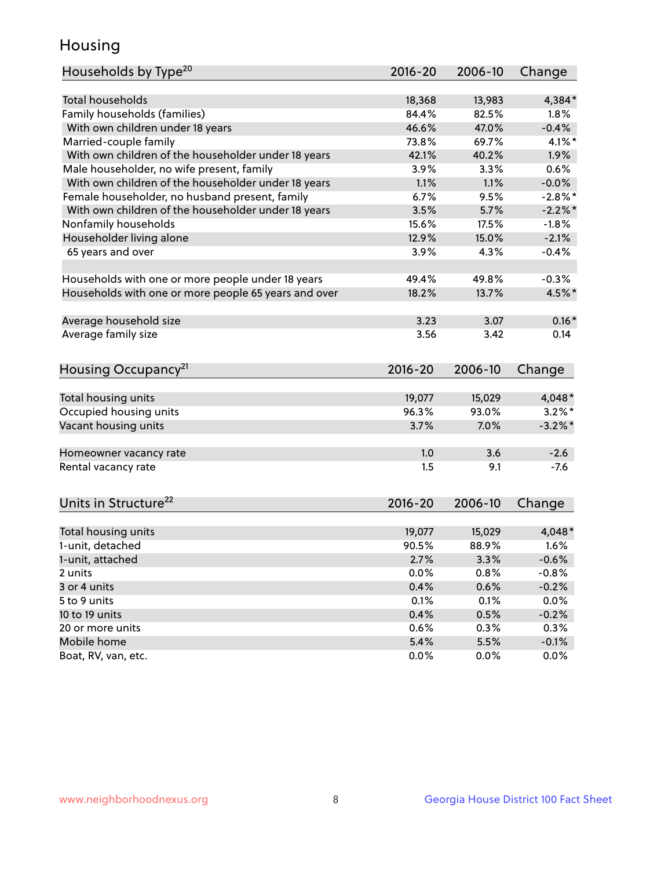## Housing

| Households by Type <sup>20</sup>                     | 2016-20     | 2006-10 | Change     |
|------------------------------------------------------|-------------|---------|------------|
|                                                      |             |         |            |
| <b>Total households</b>                              | 18,368      | 13,983  | 4,384*     |
| Family households (families)                         | 84.4%       | 82.5%   | 1.8%       |
| With own children under 18 years                     | 46.6%       | 47.0%   | $-0.4%$    |
| Married-couple family                                | 73.8%       | 69.7%   | $4.1\%$ *  |
| With own children of the householder under 18 years  | 42.1%       | 40.2%   | 1.9%       |
| Male householder, no wife present, family            | 3.9%        | 3.3%    | 0.6%       |
| With own children of the householder under 18 years  | 1.1%        | 1.1%    | $-0.0%$    |
| Female householder, no husband present, family       | 6.7%        | 9.5%    | $-2.8\%$ * |
| With own children of the householder under 18 years  | 3.5%        | 5.7%    | $-2.2\%$ * |
| Nonfamily households                                 | 15.6%       | 17.5%   | $-1.8%$    |
| Householder living alone                             | 12.9%       | 15.0%   | $-2.1%$    |
| 65 years and over                                    | 3.9%        | 4.3%    | $-0.4%$    |
|                                                      |             |         |            |
| Households with one or more people under 18 years    | 49.4%       | 49.8%   | $-0.3%$    |
| Households with one or more people 65 years and over | 18.2%       | 13.7%   | 4.5%*      |
|                                                      |             |         |            |
| Average household size                               | 3.23        | 3.07    | $0.16*$    |
| Average family size                                  | 3.56        | 3.42    | 0.14       |
|                                                      |             |         |            |
| Housing Occupancy <sup>21</sup>                      | $2016 - 20$ | 2006-10 | Change     |
|                                                      |             |         |            |
| Total housing units                                  | 19,077      | 15,029  | 4,048*     |
| Occupied housing units                               | 96.3%       | 93.0%   | $3.2\%$ *  |
| Vacant housing units                                 | 3.7%        | 7.0%    | $-3.2\%$ * |
|                                                      |             |         |            |
| Homeowner vacancy rate                               | 1.0         | 3.6     | $-2.6$     |
| Rental vacancy rate                                  | 1.5         | 9.1     | $-7.6$     |
|                                                      |             |         |            |
| Units in Structure <sup>22</sup>                     | $2016 - 20$ | 2006-10 | Change     |
|                                                      |             |         |            |
| Total housing units                                  | 19,077      | 15,029  | 4,048*     |
| 1-unit, detached                                     | 90.5%       | 88.9%   | 1.6%       |
| 1-unit, attached                                     | 2.7%        | 3.3%    | $-0.6%$    |
| 2 units                                              | 0.0%        | 0.8%    | $-0.8%$    |
| 3 or 4 units                                         | 0.4%        | 0.6%    | $-0.2%$    |
| 5 to 9 units                                         | 0.1%        | 0.1%    | $0.0\%$    |
| 10 to 19 units                                       | 0.4%        | 0.5%    | $-0.2%$    |
| 20 or more units                                     | 0.6%        | 0.3%    | 0.3%       |
| Mobile home                                          | 5.4%        | 5.5%    | $-0.1%$    |
|                                                      |             |         |            |
| Boat, RV, van, etc.                                  | 0.0%        | 0.0%    | 0.0%       |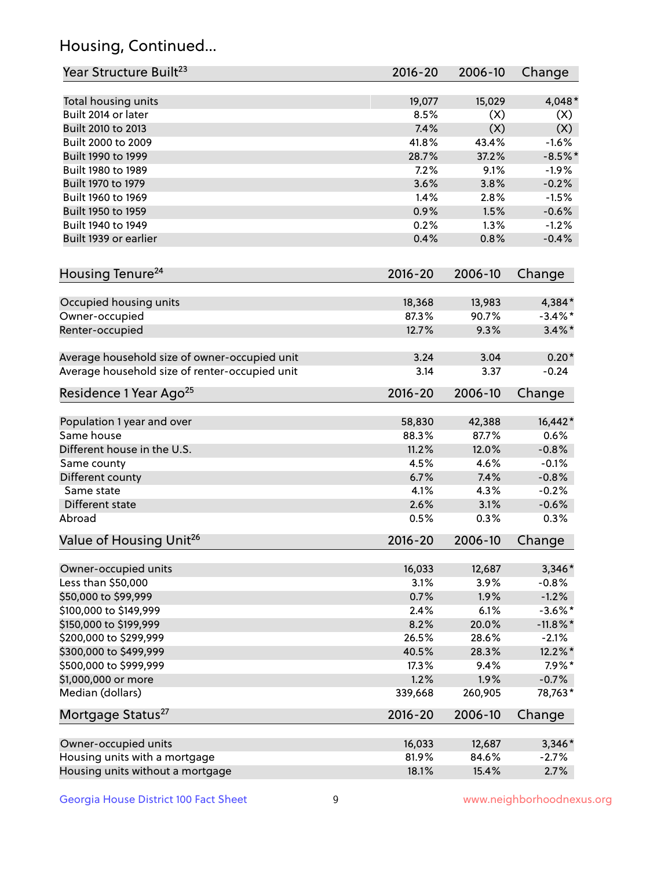## Housing, Continued...

| Year Structure Built <sup>23</sup>             | 2016-20     | 2006-10 | Change      |
|------------------------------------------------|-------------|---------|-------------|
| Total housing units                            | 19,077      | 15,029  | 4,048*      |
| Built 2014 or later                            | 8.5%        | (X)     | (X)         |
| Built 2010 to 2013                             | 7.4%        | (X)     | (X)         |
| Built 2000 to 2009                             | 41.8%       | 43.4%   | $-1.6%$     |
| Built 1990 to 1999                             | 28.7%       | 37.2%   | $-8.5%$ *   |
| Built 1980 to 1989                             | 7.2%        | 9.1%    | $-1.9%$     |
| Built 1970 to 1979                             | 3.6%        | 3.8%    | $-0.2%$     |
| Built 1960 to 1969                             | 1.4%        | 2.8%    | $-1.5%$     |
| Built 1950 to 1959                             | 0.9%        | 1.5%    | $-0.6%$     |
| Built 1940 to 1949                             | 0.2%        | 1.3%    | $-1.2%$     |
| Built 1939 or earlier                          | 0.4%        | 0.8%    | $-0.4%$     |
| Housing Tenure <sup>24</sup>                   | $2016 - 20$ | 2006-10 | Change      |
| Occupied housing units                         | 18,368      | 13,983  | 4,384*      |
| Owner-occupied                                 | 87.3%       | 90.7%   | $-3.4\%$ *  |
| Renter-occupied                                | 12.7%       | 9.3%    | $3.4\%$ *   |
| Average household size of owner-occupied unit  | 3.24        | 3.04    | $0.20*$     |
| Average household size of renter-occupied unit | 3.14        | 3.37    | $-0.24$     |
| Residence 1 Year Ago <sup>25</sup>             | $2016 - 20$ | 2006-10 | Change      |
| Population 1 year and over                     | 58,830      | 42,388  | 16,442*     |
| Same house                                     | 88.3%       | 87.7%   | 0.6%        |
| Different house in the U.S.                    | 11.2%       | 12.0%   | $-0.8%$     |
| Same county                                    | 4.5%        | 4.6%    | $-0.1%$     |
| Different county                               | 6.7%        | 7.4%    | $-0.8%$     |
| Same state                                     | 4.1%        | 4.3%    | $-0.2%$     |
| Different state                                | 2.6%        | 3.1%    | $-0.6%$     |
| Abroad                                         | 0.5%        | 0.3%    | 0.3%        |
| Value of Housing Unit <sup>26</sup>            | $2016 - 20$ | 2006-10 | Change      |
| Owner-occupied units                           | 16,033      | 12,687  | 3,346*      |
| Less than \$50,000                             | 3.1%        | 3.9%    | $-0.8%$     |
| \$50,000 to \$99,999                           | 0.7%        | 1.9%    | $-1.2%$     |
| \$100,000 to \$149,999                         | 2.4%        | 6.1%    | $-3.6\%$ *  |
| \$150,000 to \$199,999                         | 8.2%        | 20.0%   | $-11.8\%$ * |
| \$200,000 to \$299,999                         | 26.5%       | 28.6%   | $-2.1%$     |
| \$300,000 to \$499,999                         | 40.5%       | 28.3%   | 12.2%*      |
| \$500,000 to \$999,999                         | 17.3%       | 9.4%    | $7.9\%*$    |
| \$1,000,000 or more                            | 1.2%        | 1.9%    | $-0.7%$     |
| Median (dollars)                               | 339,668     | 260,905 | 78,763*     |
| Mortgage Status <sup>27</sup>                  | $2016 - 20$ | 2006-10 | Change      |
| Owner-occupied units                           | 16,033      | 12,687  | $3,346*$    |
| Housing units with a mortgage                  | 81.9%       | 84.6%   | $-2.7%$     |
| Housing units without a mortgage               | 18.1%       | 15.4%   | 2.7%        |
|                                                |             |         |             |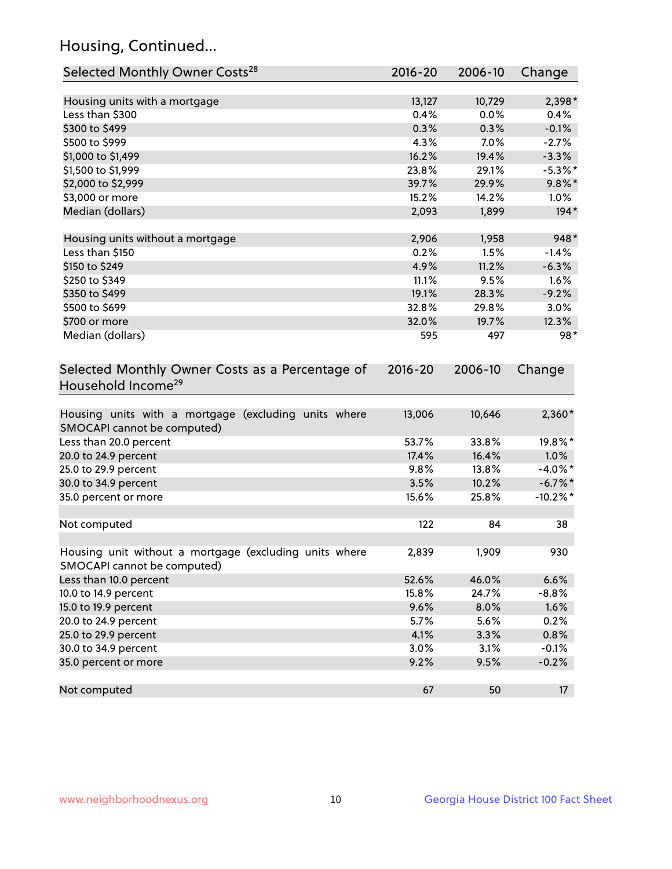## Housing, Continued...

| Selected Monthly Owner Costs <sup>28</sup>                                            | 2016-20     | 2006-10 | Change      |
|---------------------------------------------------------------------------------------|-------------|---------|-------------|
| Housing units with a mortgage                                                         | 13,127      | 10,729  | 2,398*      |
| Less than \$300                                                                       | 0.4%        | 0.0%    | 0.4%        |
| \$300 to \$499                                                                        | 0.3%        | 0.3%    | $-0.1%$     |
| \$500 to \$999                                                                        | 4.3%        | 7.0%    | $-2.7%$     |
| \$1,000 to \$1,499                                                                    | 16.2%       | 19.4%   | $-3.3%$     |
| \$1,500 to \$1,999                                                                    | 23.8%       | 29.1%   | $-5.3\%$ *  |
| \$2,000 to \$2,999                                                                    | 39.7%       | 29.9%   | $9.8\%$ *   |
| \$3,000 or more                                                                       | 15.2%       | 14.2%   | $1.0\%$     |
| Median (dollars)                                                                      | 2,093       | 1,899   | $194*$      |
| Housing units without a mortgage                                                      | 2,906       | 1,958   | 948*        |
| Less than \$150                                                                       | 0.2%        | 1.5%    | $-1.4%$     |
| \$150 to \$249                                                                        | 4.9%        | 11.2%   | $-6.3%$     |
| \$250 to \$349                                                                        | 11.1%       | 9.5%    | 1.6%        |
| \$350 to \$499                                                                        | 19.1%       | 28.3%   | $-9.2%$     |
| \$500 to \$699                                                                        | 32.8%       | 29.8%   | 3.0%        |
| \$700 or more                                                                         | 32.0%       | 19.7%   | 12.3%       |
| Median (dollars)                                                                      | 595         | 497     | $98*$       |
| Selected Monthly Owner Costs as a Percentage of<br>Household Income <sup>29</sup>     | $2016 - 20$ | 2006-10 | Change      |
| Housing units with a mortgage (excluding units where<br>SMOCAPI cannot be computed)   | 13,006      | 10,646  | $2,360*$    |
| Less than 20.0 percent                                                                | 53.7%       | 33.8%   | 19.8%*      |
| 20.0 to 24.9 percent                                                                  | 17.4%       | 16.4%   | 1.0%        |
| 25.0 to 29.9 percent                                                                  | 9.8%        | 13.8%   | $-4.0\%$ *  |
| 30.0 to 34.9 percent                                                                  | 3.5%        | 10.2%   | $-6.7\%$ *  |
| 35.0 percent or more                                                                  | 15.6%       | 25.8%   | $-10.2\%$ * |
| Not computed                                                                          | 122         | 84      | 38          |
| Housing unit without a mortgage (excluding units where<br>SMOCAPI cannot be computed) | 2,839       | 1,909   | 930         |
| Less than 10.0 percent                                                                | 52.6%       | 46.0%   | 6.6%        |
| 10.0 to 14.9 percent                                                                  | 15.8%       | 24.7%   | $-8.8%$     |
| 15.0 to 19.9 percent                                                                  | 9.6%        | 8.0%    | 1.6%        |
| 20.0 to 24.9 percent                                                                  | 5.7%        | 5.6%    | 0.2%        |
| 25.0 to 29.9 percent                                                                  | 4.1%        | 3.3%    | 0.8%        |
| 30.0 to 34.9 percent                                                                  | 3.0%        | 3.1%    | $-0.1%$     |
| 35.0 percent or more                                                                  | 9.2%        | 9.5%    | $-0.2%$     |
| Not computed                                                                          | 67          | 50      | 17          |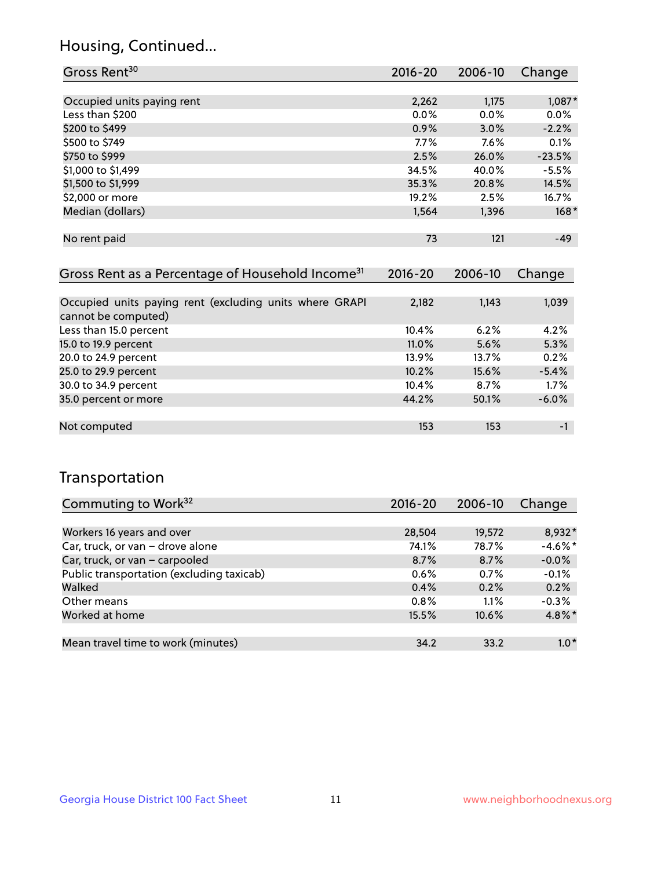## Housing, Continued...

| Gross Rent <sup>30</sup>   | 2016-20 | 2006-10 | Change   |
|----------------------------|---------|---------|----------|
|                            |         |         |          |
| Occupied units paying rent | 2,262   | 1,175   | 1,087*   |
| Less than \$200            | 0.0%    | 0.0%    | 0.0%     |
| \$200 to \$499             | 0.9%    | 3.0%    | $-2.2%$  |
| \$500 to \$749             | 7.7%    | 7.6%    | 0.1%     |
| \$750 to \$999             | 2.5%    | 26.0%   | $-23.5%$ |
| \$1,000 to \$1,499         | 34.5%   | 40.0%   | $-5.5%$  |
| \$1,500 to \$1,999         | 35.3%   | 20.8%   | 14.5%    |
| \$2,000 or more            | 19.2%   | 2.5%    | 16.7%    |
| Median (dollars)           | 1,564   | 1,396   | $168*$   |
|                            |         |         |          |
| No rent paid               | 73      | 121     | $-49$    |

| Gross Rent as a Percentage of Household Income <sup>31</sup>                   | $2016 - 20$ | 2006-10 | Change  |
|--------------------------------------------------------------------------------|-------------|---------|---------|
|                                                                                |             |         |         |
| Occupied units paying rent (excluding units where GRAPI<br>cannot be computed) | 2,182       | 1,143   | 1,039   |
| Less than 15.0 percent                                                         | 10.4%       | 6.2%    | 4.2%    |
| 15.0 to 19.9 percent                                                           | 11.0%       | 5.6%    | 5.3%    |
| 20.0 to 24.9 percent                                                           | 13.9%       | 13.7%   | 0.2%    |
| 25.0 to 29.9 percent                                                           | 10.2%       | 15.6%   | $-5.4%$ |
| 30.0 to 34.9 percent                                                           | 10.4%       | 8.7%    | 1.7%    |
| 35.0 percent or more                                                           | 44.2%       | 50.1%   | $-6.0%$ |
|                                                                                |             |         |         |
| Not computed                                                                   | 153         | 153     | -1      |

## Transportation

| Commuting to Work <sup>32</sup>           | 2016-20 | 2006-10 | Change     |
|-------------------------------------------|---------|---------|------------|
|                                           |         |         |            |
| Workers 16 years and over                 | 28,504  | 19,572  | 8,932*     |
| Car, truck, or van - drove alone          | 74.1%   | 78.7%   | $-4.6\%$ * |
| Car, truck, or van - carpooled            | 8.7%    | 8.7%    | $-0.0%$    |
| Public transportation (excluding taxicab) | $0.6\%$ | 0.7%    | $-0.1%$    |
| Walked                                    | 0.4%    | 0.2%    | 0.2%       |
| Other means                               | $0.8\%$ | $1.1\%$ | $-0.3%$    |
| Worked at home                            | 15.5%   | 10.6%   | 4.8%*      |
|                                           |         |         |            |
| Mean travel time to work (minutes)        | 34.2    | 33.2    | $1.0*$     |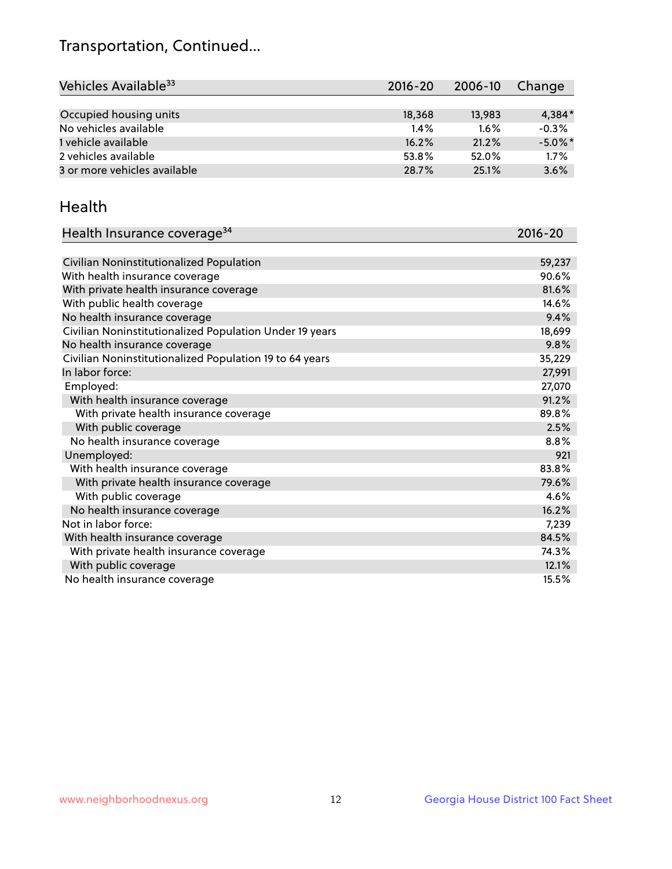## Transportation, Continued...

| Vehicles Available <sup>33</sup> | $2016 - 20$ | 2006-10 | Change     |
|----------------------------------|-------------|---------|------------|
|                                  |             |         |            |
| Occupied housing units           | 18,368      | 13,983  | 4,384*     |
| No vehicles available            | 1.4%        | 1.6%    | $-0.3%$    |
| 1 vehicle available              | 16.2%       | 21.2%   | $-5.0\%$ * |
| 2 vehicles available             | 53.8%       | 52.0%   | 1.7%       |
| 3 or more vehicles available     | 28.7%       | 25.1%   | 3.6%       |

#### Health

| Health Insurance coverage <sup>34</sup>                 | 2016-20 |
|---------------------------------------------------------|---------|
|                                                         |         |
| Civilian Noninstitutionalized Population                | 59,237  |
| With health insurance coverage                          | 90.6%   |
| With private health insurance coverage                  | 81.6%   |
| With public health coverage                             | 14.6%   |
| No health insurance coverage                            | 9.4%    |
| Civilian Noninstitutionalized Population Under 19 years | 18,699  |
| No health insurance coverage                            | 9.8%    |
| Civilian Noninstitutionalized Population 19 to 64 years | 35,229  |
| In labor force:                                         | 27,991  |
| Employed:                                               | 27,070  |
| With health insurance coverage                          | 91.2%   |
| With private health insurance coverage                  | 89.8%   |
| With public coverage                                    | 2.5%    |
| No health insurance coverage                            | 8.8%    |
| Unemployed:                                             | 921     |
| With health insurance coverage                          | 83.8%   |
| With private health insurance coverage                  | 79.6%   |
| With public coverage                                    | 4.6%    |
| No health insurance coverage                            | 16.2%   |
| Not in labor force:                                     | 7,239   |
| With health insurance coverage                          | 84.5%   |
| With private health insurance coverage                  | 74.3%   |
| With public coverage                                    | 12.1%   |
| No health insurance coverage                            | 15.5%   |